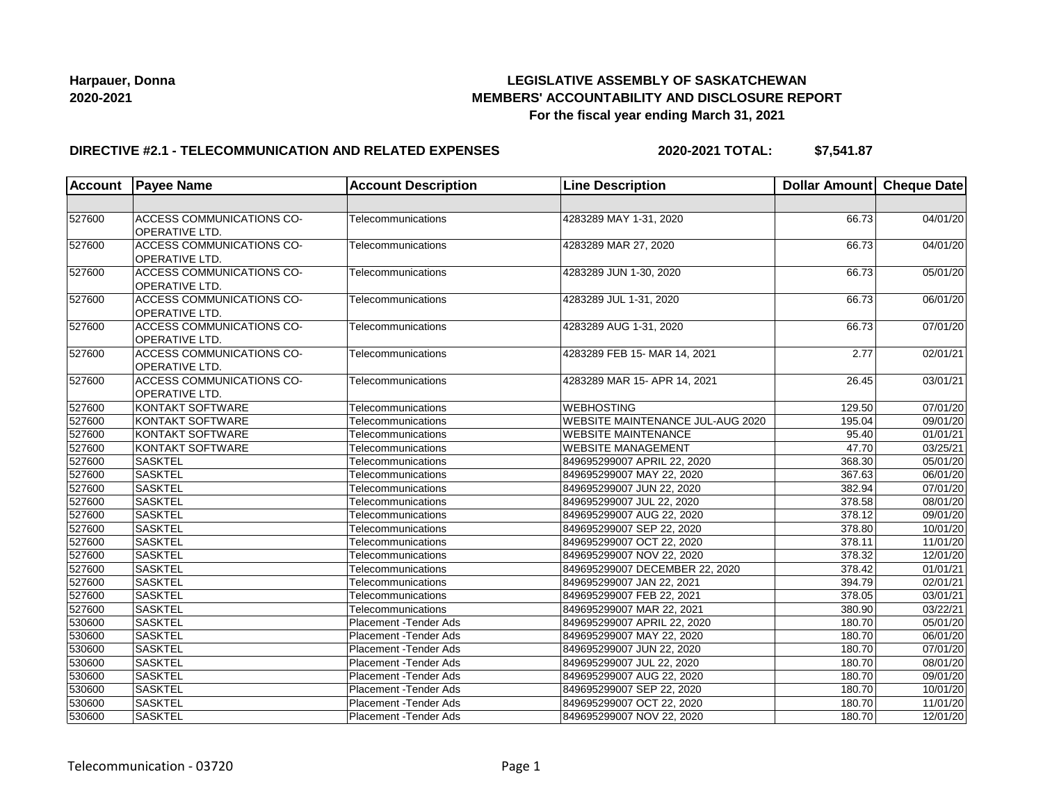## **LEGISLATIVE ASSEMBLY OF SASKATCHEWAN MEMBERS' ACCOUNTABILITY AND DISCLOSURE REPORT For the fiscal year ending March 31, 2021**

### **DIRECTIVE #2.1 - TELECOMMUNICATION AND RELATED EXPENSES**

**2020-2021 TOTAL: \$7,541.87**

| <b>Account</b> | <b>Payee Name</b>                                  | <b>Account Description</b>    | <b>Line Description</b>          | Dollar Amount Cheque Date |                       |
|----------------|----------------------------------------------------|-------------------------------|----------------------------------|---------------------------|-----------------------|
|                |                                                    |                               |                                  |                           |                       |
| 527600         | <b>ACCESS COMMUNICATIONS CO-</b><br>OPERATIVE LTD. | Telecommunications            | 4283289 MAY 1-31, 2020           | 66.73                     | 04/01/20              |
| 527600         | ACCESS COMMUNICATIONS CO-<br>OPERATIVE LTD.        | Telecommunications            | 4283289 MAR 27, 2020             | 66.73                     | 04/01/20              |
| 527600         | ACCESS COMMUNICATIONS CO-<br>OPERATIVE LTD.        | Telecommunications            | 4283289 JUN 1-30, 2020           | 66.73                     | 05/01/20              |
| 527600         | ACCESS COMMUNICATIONS CO-<br>OPERATIVE LTD.        | Telecommunications            | 4283289 JUL 1-31, 2020           | 66.73                     | 06/01/20              |
| 527600         | ACCESS COMMUNICATIONS CO-<br>OPERATIVE LTD.        | Telecommunications            | 4283289 AUG 1-31, 2020           | 66.73                     | 07/01/20              |
| 527600         | ACCESS COMMUNICATIONS CO-<br>OPERATIVE LTD.        | Telecommunications            | 4283289 FEB 15- MAR 14, 2021     | 2.77                      | 02/01/21              |
| 527600         | <b>ACCESS COMMUNICATIONS CO-</b><br>OPERATIVE LTD. | Telecommunications            | 4283289 MAR 15- APR 14, 2021     | 26.45                     | 03/01/21              |
| 527600         | KONTAKT SOFTWARE                                   | Telecommunications            | <b>WEBHOSTING</b>                | 129.50                    | 07/01/20              |
| 527600         | KONTAKT SOFTWARE                                   | Telecommunications            | WEBSITE MAINTENANCE JUL-AUG 2020 | 195.04                    | 09/01/20              |
| 527600         | KONTAKT SOFTWARE                                   | Telecommunications            | <b>WEBSITE MAINTENANCE</b>       | 95.40                     | $\overline{01}/01/21$ |
| 527600         | KONTAKT SOFTWARE                                   | Telecommunications            | <b>WEBSITE MANAGEMENT</b>        | 47.70                     | 03/25/21              |
| 527600         | <b>SASKTEL</b>                                     | Telecommunications            | 849695299007 APRIL 22, 2020      | 368.30                    | 05/01/20              |
| 527600         | <b>SASKTEL</b>                                     | Telecommunications            | 849695299007 MAY 22, 2020        | 367.63                    | 06/01/20              |
| 527600         | <b>SASKTEL</b>                                     | Telecommunications            | 849695299007 JUN 22, 2020        | 382.94                    | 07/01/20              |
| 527600         | <b>SASKTEL</b>                                     | Telecommunications            | 849695299007 JUL 22, 2020        | 378.58                    | 08/01/20              |
| 527600         | <b>SASKTEL</b>                                     | Telecommunications            | 849695299007 AUG 22, 2020        | 378.12                    | 09/01/20              |
| 527600         | <b>SASKTEL</b>                                     | Telecommunications            | 849695299007 SEP 22, 2020        | 378.80                    | 10/01/20              |
| 527600         | <b>SASKTEL</b>                                     | Telecommunications            | 849695299007 OCT 22, 2020        | 378.11                    | 11/01/20              |
| 527600         | <b>SASKTEL</b>                                     | Telecommunications            | 849695299007 NOV 22, 2020        | 378.32                    | 12/01/20              |
| 527600         | <b>SASKTEL</b>                                     | Telecommunications            | 849695299007 DECEMBER 22, 2020   | 378.42                    | 01/01/21              |
| 527600         | <b>SASKTEL</b>                                     | Telecommunications            | 849695299007 JAN 22, 2021        | 394.79                    | 02/01/21              |
| 527600         | <b>SASKTEL</b>                                     | Telecommunications            | 849695299007 FEB 22, 2021        | 378.05                    | 03/01/21              |
| 527600         | <b>SASKTEL</b>                                     | Telecommunications            | 849695299007 MAR 22, 2021        | 380.90                    | 03/22/21              |
| 530600         | <b>SASKTEL</b>                                     | Placement - Tender Ads        | 849695299007 APRIL 22, 2020      | 180.70                    | 05/01/20              |
| 530600         | <b>SASKTEL</b>                                     | <b>Placement - Tender Ads</b> | 849695299007 MAY 22, 2020        | 180.70                    | 06/01/20              |
| 530600         | <b>SASKTEL</b>                                     | <b>Placement - Tender Ads</b> | 849695299007 JUN 22, 2020        | 180.70                    | 07/01/20              |
| 530600         | <b>SASKTEL</b>                                     | Placement - Tender Ads        | 849695299007 JUL 22, 2020        | 180.70                    | 08/01/20              |
| 530600         | <b>SASKTEL</b>                                     | <b>Placement - Tender Ads</b> | 849695299007 AUG 22, 2020        | 180.70                    | 09/01/20              |
| 530600         | <b>SASKTEL</b>                                     | Placement - Tender Ads        | 849695299007 SEP 22, 2020        | 180.70                    | 10/01/20              |
| 530600         | <b>SASKTEL</b>                                     | Placement - Tender Ads        | 849695299007 OCT 22, 2020        | 180.70                    | 11/01/20              |
| 530600         | <b>SASKTEL</b>                                     | <b>Placement - Tender Ads</b> | 849695299007 NOV 22, 2020        | 180.70                    | 12/01/20              |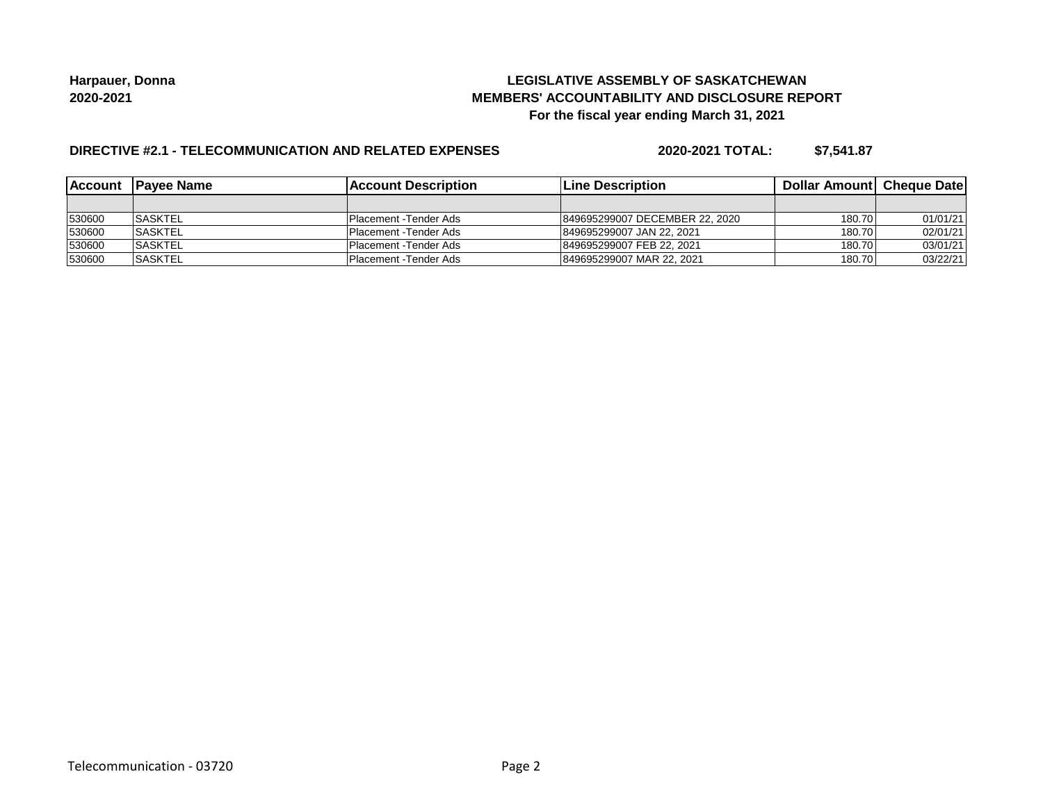## **LEGISLATIVE ASSEMBLY OF SASKATCHEWAN MEMBERS' ACCOUNTABILITY AND DISCLOSURE REPORT For the fiscal year ending March 31, 2021**

## **DIRECTIVE #2.1 - TELECOMMUNICATION AND RELATED EXPENSES**

**2020-2021 TOTAL: \$7,541.87**

| <b>Account</b> | <b>IPavee Name</b> | <b>IAccount Description</b> | <b>ILine Description</b>       | <b>Dollar Amountl Cheque Date</b> |          |
|----------------|--------------------|-----------------------------|--------------------------------|-----------------------------------|----------|
|                |                    |                             |                                |                                   |          |
| 530600         | <b>ISASKTEL</b>    | Placement - Tender Ads      | 849695299007 DECEMBER 22, 2020 | 180.70                            | 01/01/21 |
| 530600         | <b>SASKTEL</b>     | Placement - Tender Ads      | 849695299007 JAN 22, 2021      | 180.70                            | 02/01/21 |
| 530600         | <b>ISASKTEL</b>    | Placement - Tender Ads      | 849695299007 FEB 22, 2021      | 180.70                            | 03/01/21 |
| 530600         | <b>ISASKTEL</b>    | Placement - Tender Ads      | 849695299007 MAR 22, 2021      | 180.70                            | 03/22/21 |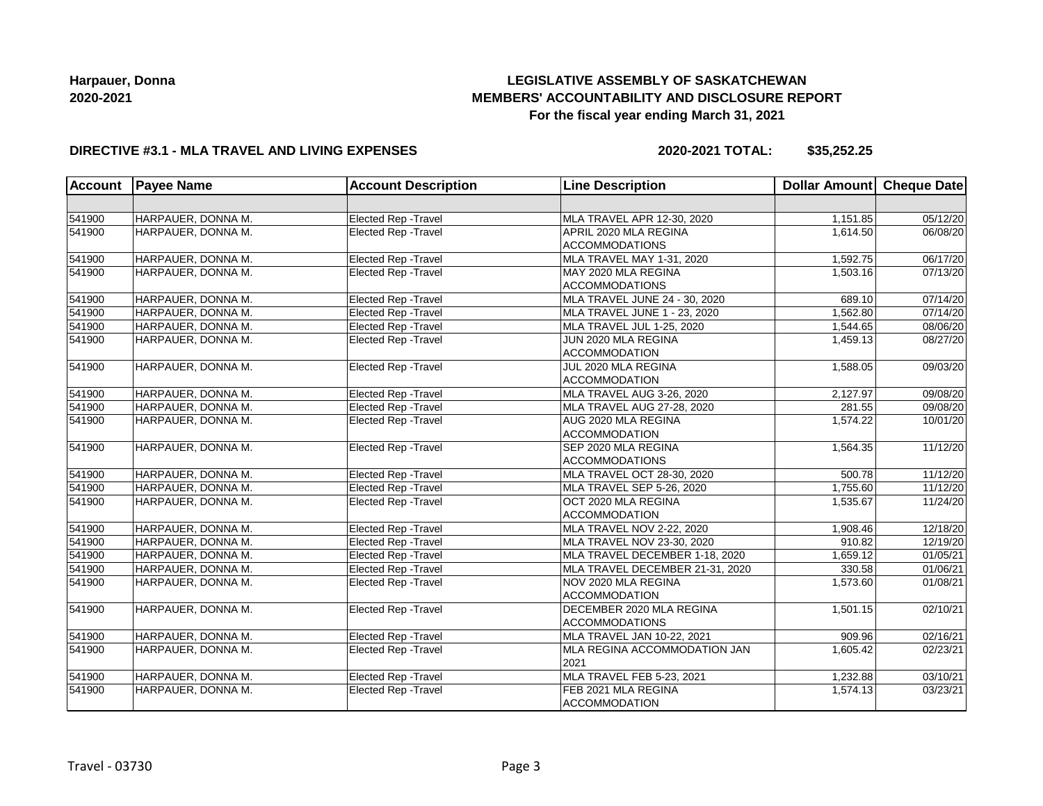# **LEGISLATIVE ASSEMBLY OF SASKATCHEWAN MEMBERS' ACCOUNTABILITY AND DISCLOSURE REPORT For the fiscal year ending March 31, 2021**

### **DIRECTIVE #3.1 - MLA TRAVEL AND LIVING EXPENSES**

**2020-2021 TOTAL: \$35,252.25**

| <b>Account</b> | <b>Payee Name</b>  | <b>Account Description</b>  | <b>Line Description</b>         | <b>Dollar Amount</b> | Cheque Date           |
|----------------|--------------------|-----------------------------|---------------------------------|----------------------|-----------------------|
|                |                    |                             |                                 |                      |                       |
| 541900         | HARPAUER, DONNA M. | Elected Rep - Travel        | MLA TRAVEL APR 12-30, 2020      | 1,151.85             | 05/12/20              |
| 541900         | HARPAUER, DONNA M. | Elected Rep - Travel        | APRIL 2020 MLA REGINA           | 1,614.50             | 06/08/20              |
|                |                    |                             | <b>ACCOMMODATIONS</b>           |                      |                       |
| 541900         | HARPAUER, DONNA M. | Elected Rep - Travel        | MLA TRAVEL MAY 1-31, 2020       | 1,592.75             | 06/17/20              |
| 541900         | HARPAUER, DONNA M. | Elected Rep - Travel        | MAY 2020 MLA REGINA             | 1,503.16             | 07/13/20              |
|                |                    |                             | <b>ACCOMMODATIONS</b>           |                      |                       |
| 541900         | HARPAUER, DONNA M. | Elected Rep - Travel        | MLA TRAVEL JUNE 24 - 30, 2020   | 689.10               | 07/14/20              |
| 541900         | HARPAUER, DONNA M. | <b>Elected Rep - Travel</b> | MLA TRAVEL JUNE 1 - 23, 2020    | 1.562.80             | 07/14/20              |
| 541900         | HARPAUER, DONNA M. | <b>Elected Rep - Travel</b> | MLA TRAVEL JUL 1-25, 2020       | 1,544.65             | 08/06/20              |
| 541900         | HARPAUER, DONNA M. | Elected Rep - Travel        | JUN 2020 MLA REGINA             | 1,459.13             | 08/27/20              |
|                |                    |                             | <b>ACCOMMODATION</b>            |                      |                       |
| 541900         | HARPAUER, DONNA M. | Elected Rep - Travel        | JUL 2020 MLA REGINA             | 1,588.05             | 09/03/20              |
|                |                    |                             | <b>ACCOMMODATION</b>            |                      |                       |
| 541900         | HARPAUER, DONNA M. | Elected Rep - Travel        | MLA TRAVEL AUG 3-26, 2020       | 2,127.97             | 09/08/20              |
| 541900         | HARPAUER, DONNA M. | <b>Elected Rep - Travel</b> | MLA TRAVEL AUG 27-28, 2020      | 281.55               | 09/08/20              |
| 541900         | HARPAUER, DONNA M. | Elected Rep - Travel        | AUG 2020 MLA REGINA             | 1,574.22             | 10/01/20              |
|                |                    |                             | <b>ACCOMMODATION</b>            |                      |                       |
| 541900         | HARPAUER, DONNA M. | Elected Rep - Travel        | SEP 2020 MLA REGINA             | 1,564.35             | 11/12/20              |
|                |                    |                             | <b>ACCOMMODATIONS</b>           |                      |                       |
| 541900         | HARPAUER, DONNA M. | <b>Elected Rep - Travel</b> | MLA TRAVEL OCT 28-30, 2020      | 500.78               | 11/12/20              |
| 541900         | HARPAUER, DONNA M. | Elected Rep - Travel        | MLA TRAVEL SEP 5-26, 2020       | 1,755.60             | 11/12/20              |
| 541900         | HARPAUER, DONNA M. | Elected Rep - Travel        | OCT 2020 MLA REGINA             | 1,535.67             | 11/24/20              |
|                |                    |                             | <b>ACCOMMODATION</b>            |                      |                       |
| 541900         | HARPAUER, DONNA M. | Elected Rep - Travel        | MLA TRAVEL NOV 2-22, 2020       | 1,908.46             | 12/18/20              |
| 541900         | HARPAUER, DONNA M. | Elected Rep - Travel        | MLA TRAVEL NOV 23-30, 2020      | 910.82               | 12/19/20              |
| 541900         | HARPAUER, DONNA M. | Elected Rep - Travel        | MLA TRAVEL DECEMBER 1-18, 2020  | 1,659.12             | 01/05/21              |
| 541900         | HARPAUER, DONNA M. | Elected Rep - Travel        | MLA TRAVEL DECEMBER 21-31, 2020 | 330.58               | 01/06/21              |
| 541900         | HARPAUER, DONNA M. | <b>Elected Rep - Travel</b> | NOV 2020 MLA REGINA             | 1,573.60             | 01/08/21              |
|                |                    |                             | <b>ACCOMMODATION</b>            |                      |                       |
| 541900         | HARPAUER, DONNA M. | Elected Rep - Travel        | DECEMBER 2020 MLA REGINA        | 1,501.15             | 02/10/21              |
|                |                    |                             | <b>ACCOMMODATIONS</b>           |                      |                       |
| 541900         | HARPAUER, DONNA M. | <b>Elected Rep - Travel</b> | MLA TRAVEL JAN 10-22, 2021      | 909.96               | 02/16/21              |
| 541900         | HARPAUER, DONNA M. | <b>Elected Rep - Travel</b> | MLA REGINA ACCOMMODATION JAN    | 1,605.42             | 02/23/21              |
|                |                    |                             | 2021                            |                      |                       |
| 541900         | HARPAUER, DONNA M. | Elected Rep - Travel        | MLA TRAVEL FEB 5-23, 2021       | 1,232.88             | 03/10/21              |
| 541900         | HARPAUER, DONNA M. | Elected Rep - Travel        | FEB 2021 MLA REGINA             | 1,574.13             | $\overline{03}/23/21$ |
|                |                    |                             | <b>ACCOMMODATION</b>            |                      |                       |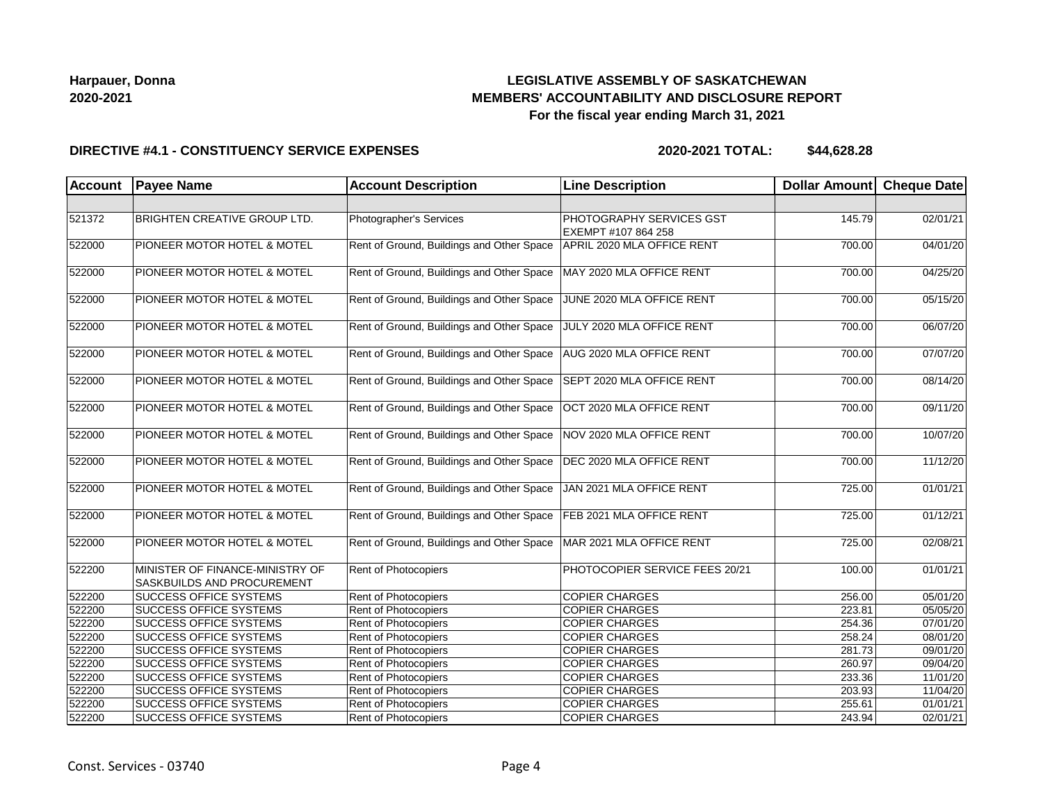# **LEGISLATIVE ASSEMBLY OF SASKATCHEWAN MEMBERS' ACCOUNTABILITY AND DISCLOSURE REPORT For the fiscal year ending March 31, 2021**

#### **DIRECTIVE #4.1 - CONSTITUENCY SERVICE EXPENSES**

| <b>Account</b> | <b>Payee Name</b>                                                    | <b>Account Description</b>                | <b>Line Description</b>                                | Dollar Amount Cheque Date |          |
|----------------|----------------------------------------------------------------------|-------------------------------------------|--------------------------------------------------------|---------------------------|----------|
|                |                                                                      |                                           |                                                        |                           |          |
| 521372         | <b>BRIGHTEN CREATIVE GROUP LTD.</b>                                  | Photographer's Services                   | <b>PHOTOGRAPHY SERVICES GST</b><br>EXEMPT #107 864 258 | 145.79                    | 02/01/21 |
| 522000         | PIONEER MOTOR HOTEL & MOTEL                                          | Rent of Ground, Buildings and Other Space | APRIL 2020 MLA OFFICE RENT                             | 700.00                    | 04/01/20 |
| 522000         | PIONEER MOTOR HOTEL & MOTEL                                          | Rent of Ground, Buildings and Other Space | MAY 2020 MLA OFFICE RENT                               | 700.00                    | 04/25/20 |
| 522000         | PIONEER MOTOR HOTEL & MOTEL                                          | Rent of Ground, Buildings and Other Space | JUNE 2020 MLA OFFICE RENT                              | 700.00                    | 05/15/20 |
| 522000         | PIONEER MOTOR HOTEL & MOTEL                                          | Rent of Ground, Buildings and Other Space | JULY 2020 MLA OFFICE RENT                              | 700.00                    | 06/07/20 |
| 522000         | <b>PIONEER MOTOR HOTEL &amp; MOTEL</b>                               | Rent of Ground, Buildings and Other Space | AUG 2020 MLA OFFICE RENT                               | 700.00                    | 07/07/20 |
| 522000         | <b>PIONEER MOTOR HOTEL &amp; MOTEL</b>                               | Rent of Ground, Buildings and Other Space | SEPT 2020 MLA OFFICE RENT                              | 700.00                    | 08/14/20 |
| 522000         | PIONEER MOTOR HOTEL & MOTEL                                          | Rent of Ground, Buildings and Other Space | OCT 2020 MLA OFFICE RENT                               | 700.00                    | 09/11/20 |
| 522000         | PIONEER MOTOR HOTEL & MOTEL                                          | Rent of Ground, Buildings and Other Space | NOV 2020 MLA OFFICE RENT                               | 700.00                    | 10/07/20 |
| 522000         | PIONEER MOTOR HOTEL & MOTEL                                          | Rent of Ground, Buildings and Other Space | DEC 2020 MLA OFFICE RENT                               | 700.00                    | 11/12/20 |
| 522000         | PIONEER MOTOR HOTEL & MOTEL                                          | Rent of Ground, Buildings and Other Space | JAN 2021 MLA OFFICE RENT                               | 725.00                    | 01/01/21 |
| 522000         | PIONEER MOTOR HOTEL & MOTEL                                          | Rent of Ground, Buildings and Other Space | FEB 2021 MLA OFFICE RENT                               | 725.00                    | 01/12/21 |
| 522000         | PIONEER MOTOR HOTEL & MOTEL                                          | Rent of Ground, Buildings and Other Space | MAR 2021 MLA OFFICE RENT                               | 725.00                    | 02/08/21 |
| 522200         | MINISTER OF FINANCE-MINISTRY OF<br><b>SASKBUILDS AND PROCUREMENT</b> | <b>Rent of Photocopiers</b>               | PHOTOCOPIER SERVICE FEES 20/21                         | 100.00                    | 01/01/21 |
| 522200         | <b>SUCCESS OFFICE SYSTEMS</b>                                        | Rent of Photocopiers                      | <b>COPIER CHARGES</b>                                  | 256.00                    | 05/01/20 |
| 522200         | <b>SUCCESS OFFICE SYSTEMS</b>                                        | <b>Rent of Photocopiers</b>               | <b>COPIER CHARGES</b>                                  | 223.81                    | 05/05/20 |
| 522200         | <b>SUCCESS OFFICE SYSTEMS</b>                                        | <b>Rent of Photocopiers</b>               | <b>COPIER CHARGES</b>                                  | 254.36                    | 07/01/20 |
| 522200         | <b>SUCCESS OFFICE SYSTEMS</b>                                        | Rent of Photocopiers                      | <b>COPIER CHARGES</b>                                  | 258.24                    | 08/01/20 |
| 522200         | <b>SUCCESS OFFICE SYSTEMS</b>                                        | <b>Rent of Photocopiers</b>               | <b>COPIER CHARGES</b>                                  | 281.73                    | 09/01/20 |
| 522200         | <b>SUCCESS OFFICE SYSTEMS</b>                                        | Rent of Photocopiers                      | <b>COPIER CHARGES</b>                                  | 260.97                    | 09/04/20 |
| 522200         | <b>SUCCESS OFFICE SYSTEMS</b>                                        | Rent of Photocopiers                      | <b>COPIER CHARGES</b>                                  | 233.36                    | 11/01/20 |
| 522200         | <b>SUCCESS OFFICE SYSTEMS</b>                                        | Rent of Photocopiers                      | <b>COPIER CHARGES</b>                                  | 203.93                    | 11/04/20 |
| 522200         | SUCCESS OFFICE SYSTEMS                                               | Rent of Photocopiers                      | <b>COPIER CHARGES</b>                                  | 255.61                    | 01/01/21 |
| 522200         | <b>SUCCESS OFFICE SYSTEMS</b>                                        | Rent of Photocopiers                      | <b>COPIER CHARGES</b>                                  | 243.94                    | 02/01/21 |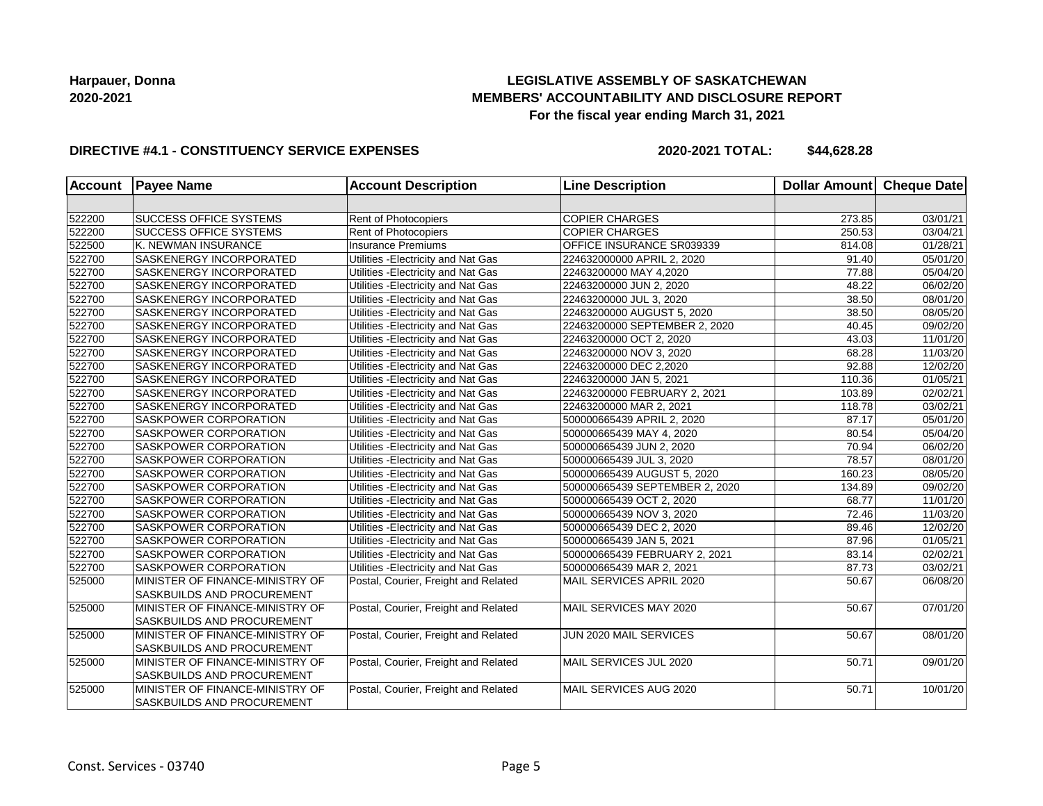## **LEGISLATIVE ASSEMBLY OF SASKATCHEWAN MEMBERS' ACCOUNTABILITY AND DISCLOSURE REPORT For the fiscal year ending March 31, 2021**

#### **DIRECTIVE #4.1 - CONSTITUENCY SERVICE EXPENSES**

| <b>Account</b> | <b>Payee Name</b>               | <b>Account Description</b>           | <b>Line Description</b>        | <b>Dollar Amount</b> | <b>Cheque Date</b>    |
|----------------|---------------------------------|--------------------------------------|--------------------------------|----------------------|-----------------------|
|                |                                 |                                      |                                |                      |                       |
| 522200         | <b>SUCCESS OFFICE SYSTEMS</b>   | Rent of Photocopiers                 | <b>COPIER CHARGES</b>          | 273.85               | 03/01/21              |
| 522200         | <b>SUCCESS OFFICE SYSTEMS</b>   | <b>Rent of Photocopiers</b>          | <b>COPIER CHARGES</b>          | 250.53               | 03/04/21              |
| 522500         | K. NEWMAN INSURANCE             | Insurance Premiums                   | OFFICE INSURANCE SR039339      | 814.08               | 01/28/21              |
| 522700         | SASKENERGY INCORPORATED         | Utilities - Electricity and Nat Gas  | 224632000000 APRIL 2, 2020     | 91.40                | 05/01/20              |
| 522700         | SASKENERGY INCORPORATED         | Utilities - Electricity and Nat Gas  | 22463200000 MAY 4,2020         | 77.88                | 05/04/20              |
| 522700         | SASKENERGY INCORPORATED         | Utilities - Electricity and Nat Gas  | 22463200000 JUN 2, 2020        | 48.22                | 06/02/20              |
| 522700         | SASKENERGY INCORPORATED         | Utilities - Electricity and Nat Gas  | 22463200000 JUL 3, 2020        | 38.50                | 08/01/20              |
| 522700         | <b>SASKENERGY INCORPORATED</b>  | Utilities - Electricity and Nat Gas  | 22463200000 AUGUST 5, 2020     | 38.50                | 08/05/20              |
| 522700         | SASKENERGY INCORPORATED         | Utilities - Electricity and Nat Gas  | 22463200000 SEPTEMBER 2, 2020  | 40.45                | 09/02/20              |
| 522700         | SASKENERGY INCORPORATED         | Utilities - Electricity and Nat Gas  | 22463200000 OCT 2, 2020        | 43.03                | 11/01/20              |
| 522700         | SASKENERGY INCORPORATED         | Utilities - Electricity and Nat Gas  | 22463200000 NOV 3, 2020        | 68.28                | 11/03/20              |
| 522700         | SASKENERGY INCORPORATED         | Utilities - Electricity and Nat Gas  | 22463200000 DEC 2,2020         | 92.88                | 12/02/20              |
| 522700         | SASKENERGY INCORPORATED         | Utilities - Electricity and Nat Gas  | 22463200000 JAN 5, 2021        | 110.36               | 01/05/21              |
| 522700         | SASKENERGY INCORPORATED         | Utilities - Electricity and Nat Gas  | 22463200000 FEBRUARY 2, 2021   | 103.89               | 02/02/21              |
| 522700         | SASKENERGY INCORPORATED         | Utilities - Electricity and Nat Gas  | 22463200000 MAR 2, 2021        | 118.78               | 03/02/21              |
| 522700         | SASKPOWER CORPORATION           | Utilities - Electricity and Nat Gas  | 500000665439 APRIL 2, 2020     | 87.17                | 05/01/20              |
| 522700         | SASKPOWER CORPORATION           | Utilities - Electricity and Nat Gas  | 500000665439 MAY 4, 2020       | 80.54                | 05/04/20              |
| 522700         | SASKPOWER CORPORATION           | Utilities - Electricity and Nat Gas  | 500000665439 JUN 2, 2020       | 70.94                | 06/02/20              |
| 522700         | SASKPOWER CORPORATION           | Utilities - Electricity and Nat Gas  | 500000665439 JUL 3, 2020       | 78.57                | 08/01/20              |
| 522700         | SASKPOWER CORPORATION           | Utilities - Electricity and Nat Gas  | 500000665439 AUGUST 5, 2020    | 160.23               | 08/05/20              |
| 522700         | SASKPOWER CORPORATION           | Utilities - Electricity and Nat Gas  | 500000665439 SEPTEMBER 2, 2020 | 134.89               | 09/02/20              |
| 522700         | SASKPOWER CORPORATION           | Utilities - Electricity and Nat Gas  | 500000665439 OCT 2, 2020       | 68.77                | 11/01/20              |
| 522700         | <b>SASKPOWER CORPORATION</b>    | Utilities - Electricity and Nat Gas  | 500000665439 NOV 3, 2020       | 72.46                | 11/03/20              |
| 522700         | SASKPOWER CORPORATION           | Utilities - Electricity and Nat Gas  | 500000665439 DEC 2, 2020       | 89.46                | 12/02/20              |
| 522700         | SASKPOWER CORPORATION           | Utilities - Electricity and Nat Gas  | 500000665439 JAN 5, 2021       | 87.96                | 01/05/21              |
| 522700         | SASKPOWER CORPORATION           | Utilities - Electricity and Nat Gas  | 500000665439 FEBRUARY 2, 2021  | 83.14                | $\overline{02/02/21}$ |
| 522700         | SASKPOWER CORPORATION           | Utilities - Electricity and Nat Gas  | 500000665439 MAR 2, 2021       | 87.73                | 03/02/21              |
| 525000         | MINISTER OF FINANCE-MINISTRY OF | Postal, Courier, Freight and Related | MAIL SERVICES APRIL 2020       | 50.67                | 06/08/20              |
|                | SASKBUILDS AND PROCUREMENT      |                                      |                                |                      |                       |
| 525000         | MINISTER OF FINANCE-MINISTRY OF | Postal, Courier, Freight and Related | MAIL SERVICES MAY 2020         | 50.67                | 07/01/20              |
|                | SASKBUILDS AND PROCUREMENT      |                                      |                                |                      |                       |
| 525000         | MINISTER OF FINANCE-MINISTRY OF | Postal, Courier, Freight and Related | JUN 2020 MAIL SERVICES         | 50.67                | 08/01/20              |
|                | SASKBUILDS AND PROCUREMENT      |                                      |                                |                      |                       |
| 525000         | MINISTER OF FINANCE-MINISTRY OF | Postal, Courier, Freight and Related | MAIL SERVICES JUL 2020         | 50.71                | 09/01/20              |
|                | SASKBUILDS AND PROCUREMENT      |                                      |                                |                      |                       |
| 525000         | MINISTER OF FINANCE-MINISTRY OF | Postal, Courier, Freight and Related | MAIL SERVICES AUG 2020         | 50.71                | 10/01/20              |
|                | SASKBUILDS AND PROCUREMENT      |                                      |                                |                      |                       |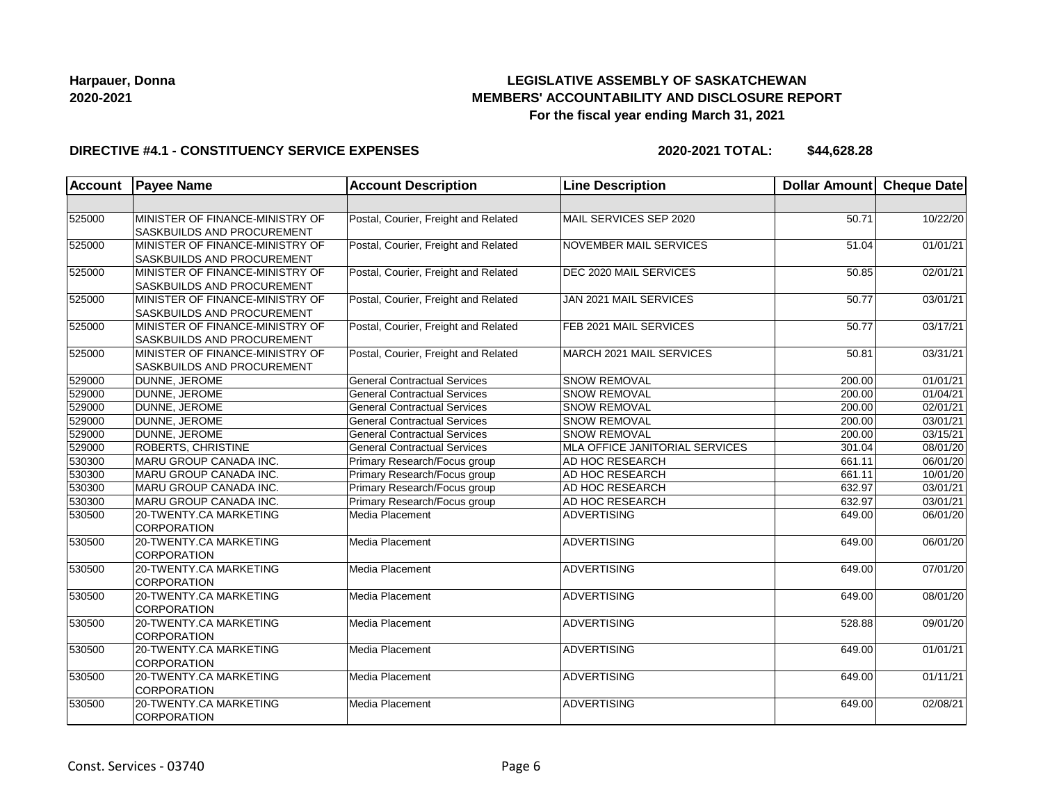# **LEGISLATIVE ASSEMBLY OF SASKATCHEWAN MEMBERS' ACCOUNTABILITY AND DISCLOSURE REPORT For the fiscal year ending March 31, 2021**

#### **DIRECTIVE #4.1 - CONSTITUENCY SERVICE EXPENSES**

| <b>Account</b> | <b>Payee Name</b>                                                    | <b>Account Description</b>           | <b>Line Description</b>        | <b>Dollar Amount</b> | Cheque Date           |
|----------------|----------------------------------------------------------------------|--------------------------------------|--------------------------------|----------------------|-----------------------|
|                |                                                                      |                                      |                                |                      |                       |
| 525000         | MINISTER OF FINANCE-MINISTRY OF<br><b>SASKBUILDS AND PROCUREMENT</b> | Postal, Courier, Freight and Related | MAIL SERVICES SEP 2020         | 50.71                | 10/22/20              |
| 525000         | MINISTER OF FINANCE-MINISTRY OF<br><b>SASKBUILDS AND PROCUREMENT</b> | Postal, Courier, Freight and Related | <b>NOVEMBER MAIL SERVICES</b>  | 51.04                | 01/01/21              |
| 525000         | MINISTER OF FINANCE-MINISTRY OF<br><b>SASKBUILDS AND PROCUREMENT</b> | Postal, Courier, Freight and Related | <b>DEC 2020 MAIL SERVICES</b>  | 50.85                | 02/01/21              |
| 525000         | MINISTER OF FINANCE-MINISTRY OF<br><b>SASKBUILDS AND PROCUREMENT</b> | Postal, Courier, Freight and Related | JAN 2021 MAIL SERVICES         | 50.77                | 03/01/21              |
| 525000         | MINISTER OF FINANCE-MINISTRY OF<br><b>SASKBUILDS AND PROCUREMENT</b> | Postal, Courier, Freight and Related | FEB 2021 MAIL SERVICES         | 50.77                | 03/17/21              |
| 525000         | MINISTER OF FINANCE-MINISTRY OF<br><b>SASKBUILDS AND PROCUREMENT</b> | Postal, Courier, Freight and Related | MARCH 2021 MAIL SERVICES       | 50.81                | 03/31/21              |
| 529000         | DUNNE, JEROME                                                        | <b>General Contractual Services</b>  | <b>SNOW REMOVAL</b>            | 200.00               | 01/01/21              |
| 529000         | DUNNE, JEROME                                                        | <b>General Contractual Services</b>  | <b>SNOW REMOVAL</b>            | 200.00               | 01/04/21              |
| 529000         | DUNNE, JEROME                                                        | <b>General Contractual Services</b>  | <b>SNOW REMOVAL</b>            | 200.00               | 02/01/21              |
| 529000         | DUNNE, JEROME                                                        | <b>General Contractual Services</b>  | <b>SNOW REMOVAL</b>            | 200.00               | 03/01/21              |
| 529000         | DUNNE, JEROME                                                        | <b>General Contractual Services</b>  | <b>SNOW REMOVAL</b>            | 200.00               | 03/15/21              |
| 529000         | <b>ROBERTS, CHRISTINE</b>                                            | <b>General Contractual Services</b>  | MLA OFFICE JANITORIAL SERVICES | 301.04               | 08/01/20              |
| 530300         | MARU GROUP CANADA INC.                                               | Primary Research/Focus group         | AD HOC RESEARCH                | 661.11               | 06/01/20              |
| 530300         | MARU GROUP CANADA INC.                                               | Primary Research/Focus group         | AD HOC RESEARCH                | 661.11               | 10/01/20              |
| 530300         | MARU GROUP CANADA INC.                                               | Primary Research/Focus group         | AD HOC RESEARCH                | 632.97               | 03/01/21              |
| 530300         | MARU GROUP CANADA INC.                                               | Primary Research/Focus group         | AD HOC RESEARCH                | 632.97               | 03/01/21              |
| 530500         | 20-TWENTY.CA MARKETING<br><b>CORPORATION</b>                         | Media Placement                      | <b>ADVERTISING</b>             | 649.00               | 06/01/20              |
| 530500         | 20-TWENTY.CA MARKETING<br><b>CORPORATION</b>                         | Media Placement                      | <b>ADVERTISING</b>             | 649.00               | 06/01/20              |
| 530500         | 20-TWENTY.CA MARKETING<br><b>CORPORATION</b>                         | Media Placement                      | ADVERTISING                    | 649.00               | 07/01/20              |
| 530500         | 20-TWENTY.CA MARKETING<br><b>CORPORATION</b>                         | Media Placement                      | <b>ADVERTISING</b>             | 649.00               | 08/01/20              |
| 530500         | 20-TWENTY.CA MARKETING<br><b>CORPORATION</b>                         | Media Placement                      | <b>ADVERTISING</b>             | 528.88               | 09/01/20              |
| 530500         | 20-TWENTY.CA MARKETING<br><b>CORPORATION</b>                         | Media Placement                      | ADVERTISING                    | 649.00               | 01/01/21              |
| 530500         | 20-TWENTY.CA MARKETING<br>CORPORATION                                | Media Placement                      | <b>ADVERTISING</b>             | 649.00               | 01/11/21              |
| 530500         | 20-TWENTY.CA MARKETING<br>CORPORATION                                | Media Placement                      | <b>ADVERTISING</b>             | 649.00               | $\overline{02}/08/21$ |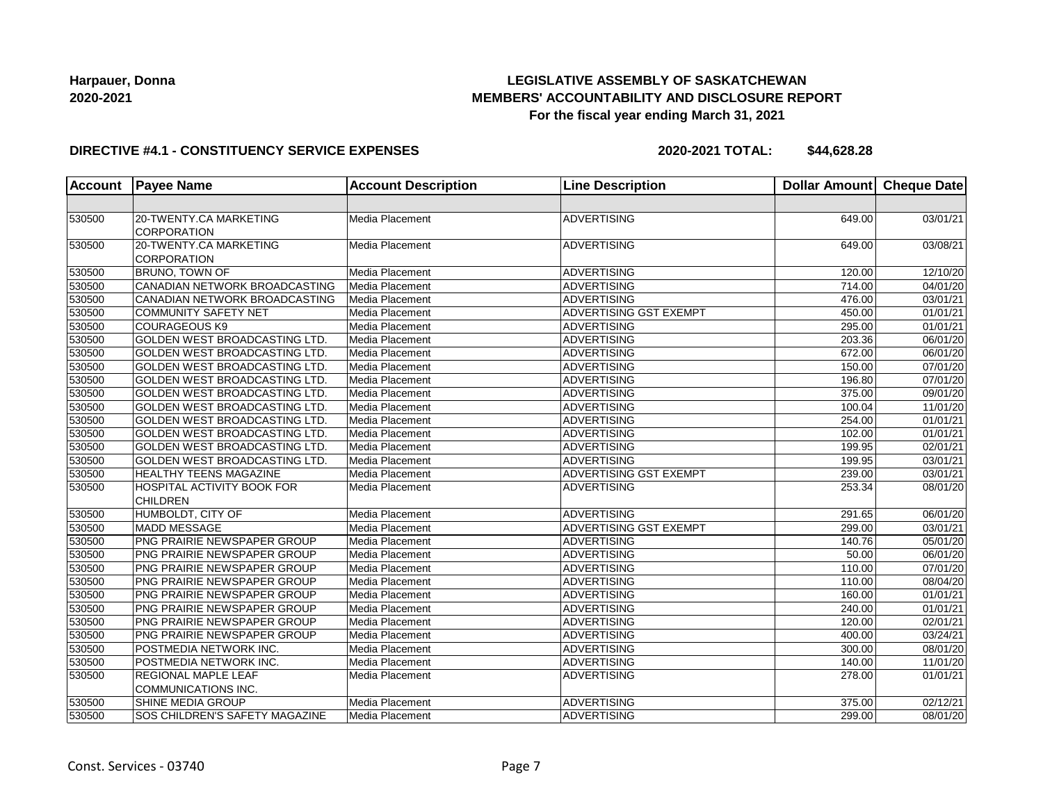# **LEGISLATIVE ASSEMBLY OF SASKATCHEWAN MEMBERS' ACCOUNTABILITY AND DISCLOSURE REPORT For the fiscal year ending March 31, 2021**

#### **DIRECTIVE #4.1 - CONSTITUENCY SERVICE EXPENSES**

| <b>Account</b> | <b>Payee Name</b>                            | <b>Account Description</b> | <b>Line Description</b>       | <b>Dollar Amount</b> | <b>Cheque Date</b> |
|----------------|----------------------------------------------|----------------------------|-------------------------------|----------------------|--------------------|
|                |                                              |                            |                               |                      |                    |
| 530500         | 20-TWENTY.CA MARKETING<br><b>CORPORATION</b> | Media Placement            | <b>ADVERTISING</b>            | 649.00               | 03/01/21           |
| 530500         | 20-TWENTY.CA MARKETING<br>CORPORATION        | Media Placement            | ADVERTISING                   | 649.00               | 03/08/21           |
| 530500         | <b>BRUNO, TOWN OF</b>                        | Media Placement            | <b>ADVERTISING</b>            | 120.00               | 12/10/20           |
| 530500         | CANADIAN NETWORK BROADCASTING                | Media Placement            | <b>ADVERTISING</b>            | 714.00               | 04/01/20           |
| 530500         | CANADIAN NETWORK BROADCASTING                | Media Placement            | <b>ADVERTISING</b>            | 476.00               | 03/01/21           |
| 530500         | <b>COMMUNITY SAFETY NET</b>                  | Media Placement            | ADVERTISING GST EXEMPT        | 450.00               | 01/01/21           |
| 530500         | <b>COURAGEOUS K9</b>                         | Media Placement            | ADVERTISING                   | 295.00               | 01/01/21           |
| 530500         | <b>GOLDEN WEST BROADCASTING LTD.</b>         | Media Placement            | ADVERTISING                   | 203.36               | 06/01/20           |
| 530500         | GOLDEN WEST BROADCASTING LTD.                | Media Placement            | <b>ADVERTISING</b>            | 672.00               | 06/01/20           |
| 530500         | GOLDEN WEST BROADCASTING LTD.                | Media Placement            | <b>ADVERTISING</b>            | 150.00               | 07/01/20           |
| 530500         | GOLDEN WEST BROADCASTING LTD.                | Media Placement            | <b>ADVERTISING</b>            | 196.80               | 07/01/20           |
| 530500         | GOLDEN WEST BROADCASTING LTD.                | Media Placement            | <b>ADVERTISING</b>            | 375.00               | 09/01/20           |
| 530500         | GOLDEN WEST BROADCASTING LTD.                | Media Placement            | ADVERTISING                   | 100.04               | 11/01/20           |
| 530500         | <b>GOLDEN WEST BROADCASTING LTD.</b>         | Media Placement            | <b>ADVERTISING</b>            | 254.00               | 01/01/21           |
| 530500         | <b>GOLDEN WEST BROADCASTING LTD.</b>         | Media Placement            | <b>ADVERTISING</b>            | 102.00               | 01/01/21           |
| 530500         | GOLDEN WEST BROADCASTING LTD.                | Media Placement            | <b>ADVERTISING</b>            | 199.95               | 02/01/21           |
| 530500         | GOLDEN WEST BROADCASTING LTD.                | Media Placement            | <b>ADVERTISING</b>            | 199.95               | 03/01/21           |
| 530500         | <b>HEALTHY TEENS MAGAZINE</b>                | Media Placement            | ADVERTISING GST EXEMPT        | 239.00               | 03/01/21           |
| 530500         | HOSPITAL ACTIVITY BOOK FOR                   | Media Placement            | ADVERTISING                   | 253.34               | 08/01/20           |
|                | <b>CHILDREN</b>                              |                            |                               |                      |                    |
| 530500         | HUMBOLDT, CITY OF                            | Media Placement            | <b>ADVERTISING</b>            | 291.65               | 06/01/20           |
| 530500         | <b>MADD MESSAGE</b>                          | Media Placement            | <b>ADVERTISING GST EXEMPT</b> | 299.00               | 03/01/21           |
| 530500         | PNG PRAIRIE NEWSPAPER GROUP                  | Media Placement            | <b>ADVERTISING</b>            | 140.76               | 05/01/20           |
| 530500         | PNG PRAIRIE NEWSPAPER GROUP                  | Media Placement            | <b>ADVERTISING</b>            | 50.00                | 06/01/20           |
| 530500         | PNG PRAIRIE NEWSPAPER GROUP                  | Media Placement            | ADVERTISING                   | 110.00               | 07/01/20           |
| 530500         | PNG PRAIRIE NEWSPAPER GROUP                  | Media Placement            | ADVERTISING                   | 110.00               | 08/04/20           |
| 530500         | PNG PRAIRIE NEWSPAPER GROUP                  | Media Placement            | <b>ADVERTISING</b>            | 160.00               | 01/01/21           |
| 530500         | PNG PRAIRIE NEWSPAPER GROUP                  | Media Placement            | <b>ADVERTISING</b>            | 240.00               | 01/01/21           |
| 530500         | PNG PRAIRIE NEWSPAPER GROUP                  | Media Placement            | <b>ADVERTISING</b>            | 120.00               | 02/01/21           |
| 530500         | PNG PRAIRIE NEWSPAPER GROUP                  | Media Placement            | <b>ADVERTISING</b>            | 400.00               | 03/24/21           |
| 530500         | POSTMEDIA NETWORK INC.                       | Media Placement            | ADVERTISING                   | 300.00               | 08/01/20           |
| 530500         | POSTMEDIA NETWORK INC.                       | Media Placement            | <b>ADVERTISING</b>            | 140.00               | 11/01/20           |
| 530500         | <b>REGIONAL MAPLE LEAF</b>                   | Media Placement            | <b>ADVERTISING</b>            | 278.00               | 01/01/21           |
|                | COMMUNICATIONS INC.                          |                            |                               |                      |                    |
| 530500         | SHINE MEDIA GROUP                            | Media Placement            | <b>ADVERTISING</b>            | 375.00               | 02/12/21           |
| 530500         | SOS CHILDREN'S SAFETY MAGAZINE               | Media Placement            | <b>ADVERTISING</b>            | 299.00               | 08/01/20           |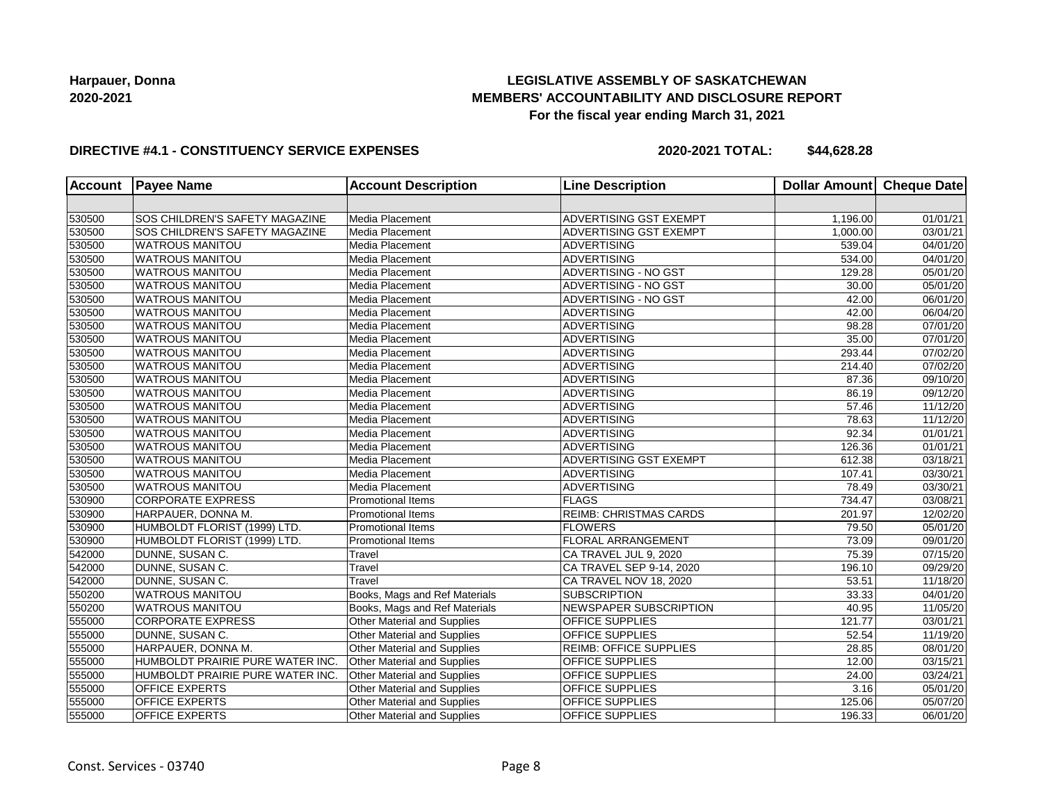## **LEGISLATIVE ASSEMBLY OF SASKATCHEWAN MEMBERS' ACCOUNTABILITY AND DISCLOSURE REPORT For the fiscal year ending March 31, 2021**

#### **DIRECTIVE #4.1 - CONSTITUENCY SERVICE EXPENSES**

| <b>Account</b> | <b>Payee Name</b>                | <b>Account Description</b>         | <b>Line Description</b>       | Dollar Amount | <b>Cheque Date</b>    |
|----------------|----------------------------------|------------------------------------|-------------------------------|---------------|-----------------------|
|                |                                  |                                    |                               |               |                       |
| 530500         | SOS CHILDREN'S SAFETY MAGAZINE   | Media Placement                    | ADVERTISING GST EXEMPT        | 1,196.00      | 01/01/21              |
| 530500         | SOS CHILDREN'S SAFETY MAGAZINE   | Media Placement                    | <b>ADVERTISING GST EXEMPT</b> | 1,000.00      | 03/01/21              |
| 530500         | <b>WATROUS MANITOU</b>           | Media Placement                    | <b>ADVERTISING</b>            | 539.04        | 04/01/20              |
| 530500         | <b>WATROUS MANITOU</b>           | Media Placement                    | <b>ADVERTISING</b>            | 534.00        | 04/01/20              |
| 530500         | WATROUS MANITOU                  | Media Placement                    | <b>ADVERTISING - NO GST</b>   | 129.28        | 05/01/20              |
| 530500         | WATROUS MANITOU                  | Media Placement                    | ADVERTISING - NO GST          | 30.00         | 05/01/20              |
| 530500         | <b>WATROUS MANITOU</b>           | Media Placement                    | ADVERTISING - NO GST          | 42.00         | 06/01/20              |
| 530500         | <b>WATROUS MANITOU</b>           | Media Placement                    | <b>ADVERTISING</b>            | 42.00         | 06/04/20              |
| 530500         | <b>WATROUS MANITOU</b>           | Media Placement                    | <b>ADVERTISING</b>            | 98.28         | 07/01/20              |
| 530500         | <b>WATROUS MANITOU</b>           | Media Placement                    | <b>ADVERTISING</b>            | 35.00         | 07/01/20              |
| 530500         | <b>WATROUS MANITOU</b>           | Media Placement                    | <b>ADVERTISING</b>            | 293.44        | 07/02/20              |
| 530500         | <b>WATROUS MANITOU</b>           | Media Placement                    | <b>ADVERTISING</b>            | 214.40        | 07/02/20              |
| 530500         | <b>WATROUS MANITOU</b>           | Media Placement                    | <b>ADVERTISING</b>            | 87.36         | 09/10/20              |
| 530500         | <b>WATROUS MANITOU</b>           | Media Placement                    | <b>ADVERTISING</b>            | 86.19         | 09/12/20              |
| 530500         | <b>WATROUS MANITOU</b>           | Media Placement                    | <b>ADVERTISING</b>            | 57.46         | 11/12/20              |
| 530500         | <b>WATROUS MANITOU</b>           | Media Placement                    | <b>ADVERTISING</b>            | 78.63         | 11/12/20              |
| 530500         | <b>WATROUS MANITOU</b>           | Media Placement                    | <b>ADVERTISING</b>            | 92.34         | 01/01/21              |
| 530500         | <b>WATROUS MANITOU</b>           | Media Placement                    | <b>ADVERTISING</b>            | 126.36        | $\overline{01}/01/21$ |
| 530500         | <b>WATROUS MANITOU</b>           | Media Placement                    | ADVERTISING GST EXEMPT        | 612.38        | 03/18/21              |
| 530500         | <b>WATROUS MANITOU</b>           | Media Placement                    | <b>ADVERTISING</b>            | 107.41        | 03/30/21              |
| 530500         | <b>WATROUS MANITOU</b>           | Media Placement                    | <b>ADVERTISING</b>            | 78.49         | 03/30/21              |
| 530900         | <b>CORPORATE EXPRESS</b>         | Promotional Items                  | <b>FLAGS</b>                  | 734.47        | 03/08/21              |
| 530900         | HARPAUER, DONNA M.               | Promotional Items                  | <b>REIMB: CHRISTMAS CARDS</b> | 201.97        | 12/02/20              |
| 530900         | HUMBOLDT FLORIST (1999) LTD.     | <b>Promotional Items</b>           | <b>FLOWERS</b>                | 79.50         | 05/01/20              |
| 530900         | HUMBOLDT FLORIST (1999) LTD.     | <b>Promotional Items</b>           | FLORAL ARRANGEMENT            | 73.09         | 09/01/20              |
| 542000         | DUNNE, SUSAN C.                  | Travel                             | CA TRAVEL JUL 9, 2020         | 75.39         | 07/15/20              |
| 542000         | DUNNE, SUSAN C.                  | Travel                             | CA TRAVEL SEP 9-14, 2020      | 196.10        | 09/29/20              |
| 542000         | DUNNE, SUSAN C.                  | Travel                             | CA TRAVEL NOV 18, 2020        | 53.51         | 11/18/20              |
| 550200         | <b>WATROUS MANITOU</b>           | Books, Mags and Ref Materials      | <b>SUBSCRIPTION</b>           | 33.33         | 04/01/20              |
| 550200         | <b>WATROUS MANITOU</b>           | Books, Mags and Ref Materials      | NEWSPAPER SUBSCRIPTION        | 40.95         | 11/05/20              |
| 555000         | <b>CORPORATE EXPRESS</b>         | Other Material and Supplies        | OFFICE SUPPLIES               | 121.77        | 03/01/21              |
| 555000         | DUNNE, SUSAN C.                  | Other Material and Supplies        | OFFICE SUPPLIES               | 52.54         | 11/19/20              |
| 555000         | HARPAUER, DONNA M.               | Other Material and Supplies        | <b>REIMB: OFFICE SUPPLIES</b> | 28.85         | 08/01/20              |
| 555000         | HUMBOLDT PRAIRIE PURE WATER INC. | <b>Other Material and Supplies</b> | OFFICE SUPPLIES               | 12.00         | 03/15/21              |
| 555000         | HUMBOLDT PRAIRIE PURE WATER INC. | Other Material and Supplies        | OFFICE SUPPLIES               | 24.00         | 03/24/21              |
| 555000         | <b>OFFICE EXPERTS</b>            | <b>Other Material and Supplies</b> | OFFICE SUPPLIES               | 3.16          | 05/01/20              |
| 555000         | <b>OFFICE EXPERTS</b>            | Other Material and Supplies        | OFFICE SUPPLIES               | 125.06        | 05/07/20              |
| 555000         | <b>OFFICE EXPERTS</b>            | Other Material and Supplies        | OFFICE SUPPLIES               | 196.33        | 06/01/20              |
|                |                                  |                                    |                               |               |                       |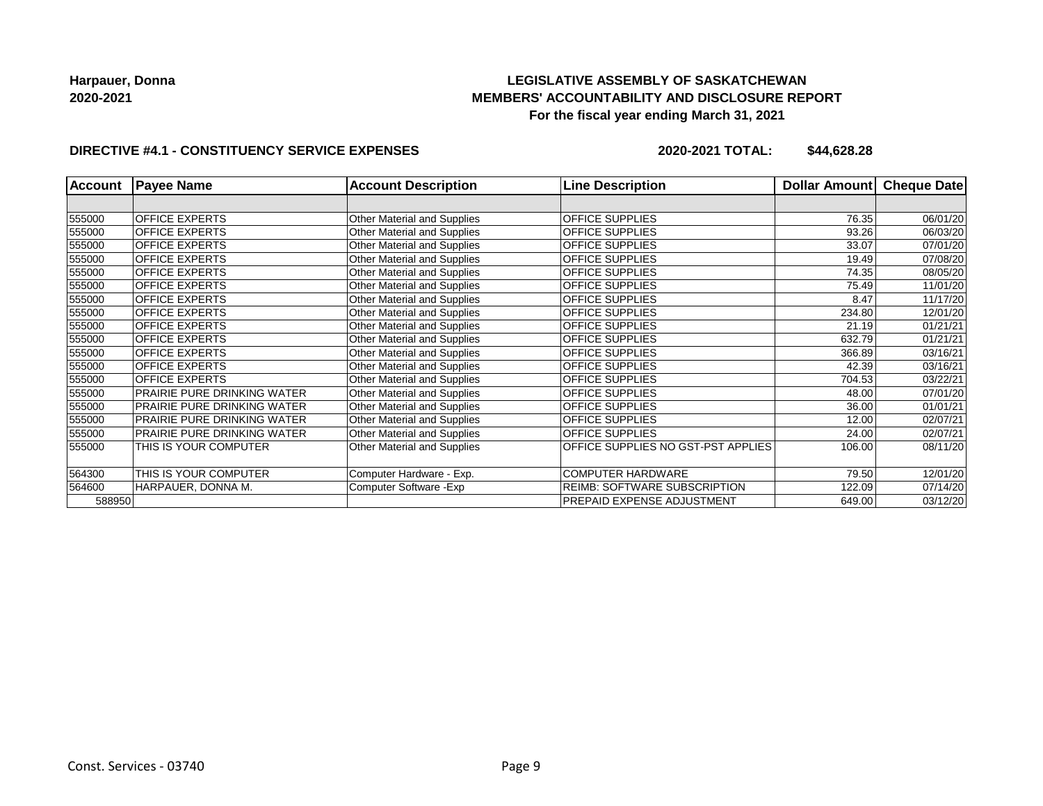# **LEGISLATIVE ASSEMBLY OF SASKATCHEWAN MEMBERS' ACCOUNTABILITY AND DISCLOSURE REPORT For the fiscal year ending March 31, 2021**

### **DIRECTIVE #4.1 - CONSTITUENCY SERVICE EXPENSES**

| <b>Account</b> | <b>Payee Name</b>           | <b>Account Description</b>  | <b>Line Description</b>                   | Dollar Amount | Cheque Date |
|----------------|-----------------------------|-----------------------------|-------------------------------------------|---------------|-------------|
|                |                             |                             |                                           |               |             |
| 555000         | <b>OFFICE EXPERTS</b>       | Other Material and Supplies | <b>OFFICE SUPPLIES</b>                    | 76.35         | 06/01/20    |
| 555000         | <b>OFFICE EXPERTS</b>       | Other Material and Supplies | <b>OFFICE SUPPLIES</b>                    | 93.26         | 06/03/20    |
| 555000         | <b>OFFICE EXPERTS</b>       | Other Material and Supplies | <b>OFFICE SUPPLIES</b>                    | 33.07         | 07/01/20    |
| 555000         | <b>OFFICE EXPERTS</b>       | Other Material and Supplies | <b>OFFICE SUPPLIES</b>                    | 19.49         | 07/08/20    |
| 555000         | <b>OFFICE EXPERTS</b>       | Other Material and Supplies | <b>OFFICE SUPPLIES</b>                    | 74.35         | 08/05/20    |
| 555000         | <b>OFFICE EXPERTS</b>       | Other Material and Supplies | <b>OFFICE SUPPLIES</b>                    | 75.49         | 11/01/20    |
| 555000         | <b>OFFICE EXPERTS</b>       | Other Material and Supplies | <b>OFFICE SUPPLIES</b>                    | 8.47          | 11/17/20    |
| 555000         | <b>OFFICE EXPERTS</b>       | Other Material and Supplies | <b>OFFICE SUPPLIES</b>                    | 234.80        | 12/01/20    |
| 555000         | <b>OFFICE EXPERTS</b>       | Other Material and Supplies | <b>OFFICE SUPPLIES</b>                    | 21.19         | 01/21/21    |
| 555000         | <b>OFFICE EXPERTS</b>       | Other Material and Supplies | <b>OFFICE SUPPLIES</b>                    | 632.79        | 01/21/21    |
| 555000         | <b>OFFICE EXPERTS</b>       | Other Material and Supplies | <b>OFFICE SUPPLIES</b>                    | 366.89        | 03/16/21    |
| 555000         | <b>OFFICE EXPERTS</b>       | Other Material and Supplies | <b>OFFICE SUPPLIES</b>                    | 42.39         | 03/16/21    |
| 555000         | <b>OFFICE EXPERTS</b>       | Other Material and Supplies | <b>OFFICE SUPPLIES</b>                    | 704.53        | 03/22/21    |
| 555000         | PRAIRIE PURE DRINKING WATER | Other Material and Supplies | <b>OFFICE SUPPLIES</b>                    | 48.00         | 07/01/20    |
| 555000         | PRAIRIE PURE DRINKING WATER | Other Material and Supplies | <b>OFFICE SUPPLIES</b>                    | 36.00         | 01/01/21    |
| 555000         | PRAIRIE PURE DRINKING WATER | Other Material and Supplies | <b>OFFICE SUPPLIES</b>                    | 12.00         | 02/07/21    |
| 555000         | PRAIRIE PURE DRINKING WATER | Other Material and Supplies | <b>OFFICE SUPPLIES</b>                    | 24.00         | 02/07/21    |
| 555000         | THIS IS YOUR COMPUTER       | Other Material and Supplies | <b>OFFICE SUPPLIES NO GST-PST APPLIES</b> | 106.00        | 08/11/20    |
| 564300         | THIS IS YOUR COMPUTER       | Computer Hardware - Exp.    | <b>COMPUTER HARDWARE</b>                  | 79.50         | 12/01/20    |
| 564600         | HARPAUER, DONNA M.          | Computer Software - Exp     | <b>REIMB: SOFTWARE SUBSCRIPTION</b>       | 122.09        | 07/14/20    |
| 588950         |                             |                             | <b>PREPAID EXPENSE ADJUSTMENT</b>         | 649.00        | 03/12/20    |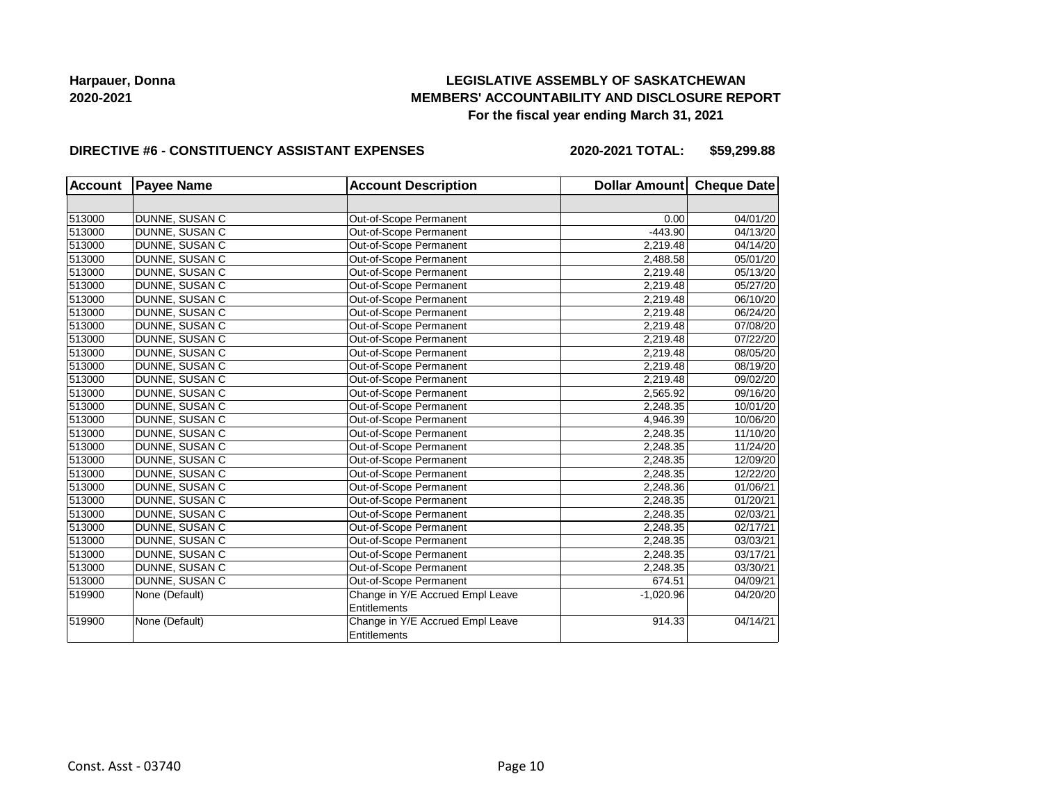## **LEGISLATIVE ASSEMBLY OF SASKATCHEWAN MEMBERS' ACCOUNTABILITY AND DISCLOSURE REPORT For the fiscal year ending March 31, 2021**

#### **DIRECTIVE #6 - CONSTITUENCY ASSISTANT EXPENSES**

**2020-2021 TOTAL: \$59,299.88**

| <b>Account</b> | <b>Payee Name</b> | <b>Account Description</b>       | Dollar Amount Cheque Date |          |
|----------------|-------------------|----------------------------------|---------------------------|----------|
|                |                   |                                  |                           |          |
| 513000         | DUNNE, SUSAN C    | Out-of-Scope Permanent           | 0.00                      | 04/01/20 |
| 513000         | DUNNE, SUSAN C    | Out-of-Scope Permanent           | $-443.90$                 | 04/13/20 |
| 513000         | DUNNE, SUSAN C    | Out-of-Scope Permanent           | 2,219.48                  | 04/14/20 |
| 513000         | DUNNE, SUSAN C    | Out-of-Scope Permanent           | 2,488.58                  | 05/01/20 |
| 513000         | DUNNE, SUSAN C    | Out-of-Scope Permanent           | 2,219.48                  | 05/13/20 |
| 513000         | DUNNE, SUSAN C    | Out-of-Scope Permanent           | 2,219.48                  | 05/27/20 |
| 513000         | DUNNE, SUSAN C    | Out-of-Scope Permanent           | 2,219.48                  | 06/10/20 |
| 513000         | DUNNE, SUSAN C    | Out-of-Scope Permanent           | 2,219.48                  | 06/24/20 |
| 513000         | DUNNE, SUSAN C    | Out-of-Scope Permanent           | 2,219.48                  | 07/08/20 |
| 513000         | DUNNE, SUSAN C    | Out-of-Scope Permanent           | 2,219.48                  | 07/22/20 |
| 513000         | DUNNE, SUSAN C    | Out-of-Scope Permanent           | 2,219.48                  | 08/05/20 |
| 513000         | DUNNE, SUSAN C    | Out-of-Scope Permanent           | 2,219.48                  | 08/19/20 |
| 513000         | DUNNE, SUSAN C    | Out-of-Scope Permanent           | 2,219.48                  | 09/02/20 |
| 513000         | DUNNE, SUSAN C    | Out-of-Scope Permanent           | 2,565.92                  | 09/16/20 |
| 513000         | DUNNE, SUSAN C    | Out-of-Scope Permanent           | 2,248.35                  | 10/01/20 |
| 513000         | DUNNE, SUSAN C    | Out-of-Scope Permanent           | 4,946.39                  | 10/06/20 |
| 513000         | DUNNE, SUSAN C    | Out-of-Scope Permanent           | 2,248.35                  | 11/10/20 |
| 513000         | DUNNE, SUSAN C    | Out-of-Scope Permanent           | 2,248.35                  | 11/24/20 |
| 513000         | DUNNE, SUSAN C    | Out-of-Scope Permanent           | 2,248.35                  | 12/09/20 |
| 513000         | DUNNE, SUSAN C    | Out-of-Scope Permanent           | 2,248.35                  | 12/22/20 |
| 513000         | DUNNE, SUSAN C    | Out-of-Scope Permanent           | 2,248.36                  | 01/06/21 |
| 513000         | DUNNE, SUSAN C    | Out-of-Scope Permanent           | 2,248.35                  | 01/20/21 |
| 513000         | DUNNE, SUSAN C    | Out-of-Scope Permanent           | 2,248.35                  | 02/03/21 |
| 513000         | DUNNE, SUSAN C    | Out-of-Scope Permanent           | 2,248.35                  | 02/17/21 |
| 513000         | DUNNE, SUSAN C    | Out-of-Scope Permanent           | 2,248.35                  | 03/03/21 |
| 513000         | DUNNE, SUSAN C    | Out-of-Scope Permanent           | 2,248.35                  | 03/17/21 |
| 513000         | DUNNE, SUSAN C    | Out-of-Scope Permanent           | 2,248.35                  | 03/30/21 |
| 513000         | DUNNE, SUSAN C    | Out-of-Scope Permanent           | 674.51                    | 04/09/21 |
| 519900         | None (Default)    | Change in Y/E Accrued Empl Leave | $-1,020.96$               | 04/20/20 |
|                |                   | <b>Entitlements</b>              |                           |          |
| 519900         | None (Default)    | Change in Y/E Accrued Empl Leave | 914.33                    | 04/14/21 |
|                |                   | <b>Entitlements</b>              |                           |          |